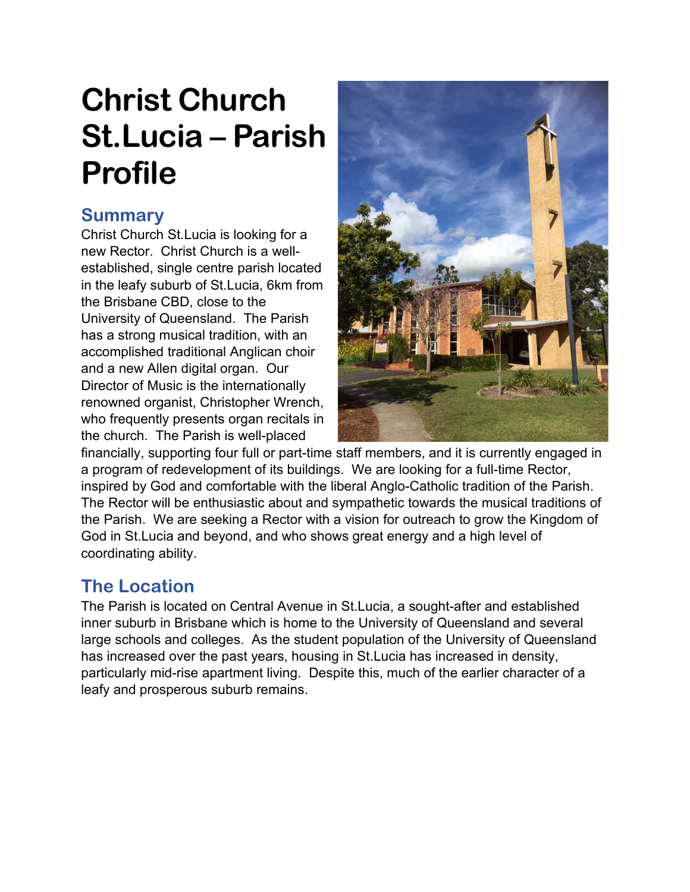# **Christ Church St.Lucia – Parish Profile**

## **Summary**

Christ Church St.Lucia is looking for a new Rector. Christ Church is a wellestablished, single centre parish located in the leafy suburb of St.Lucia, 6km from the Brisbane CBD, close to the University of Queensland. The Parish has a strong musical tradition, with an accomplished traditional Anglican choir and a new Allen digital organ. Our Director of Music is the internationally renowned organist, Christopher Wrench, who frequently presents organ recitals in the church. The Parish is well-placed



financially, supporting four full or part-time staff members, and it is currently engaged in a program of redevelopment of its buildings. We are looking for a full-time Rector, inspired by God and comfortable with the liberal Anglo-Catholic tradition of the Parish. The Rector will be enthusiastic about and sympathetic towards the musical traditions of the Parish. We are seeking a Rector with a vision for outreach to grow the Kingdom of God in St.Lucia and beyond, and who shows great energy and a high level of coordinating ability.

## **The Location**

The Parish is located on Central Avenue in St.Lucia, a sought-after and established inner suburb in Brisbane which is home to the University of Queensland and several large schools and colleges. As the student population of the University of Queensland has increased over the past years, housing in St.Lucia has increased in density, particularly mid-rise apartment living. Despite this, much of the earlier character of a leafy and prosperous suburb remains.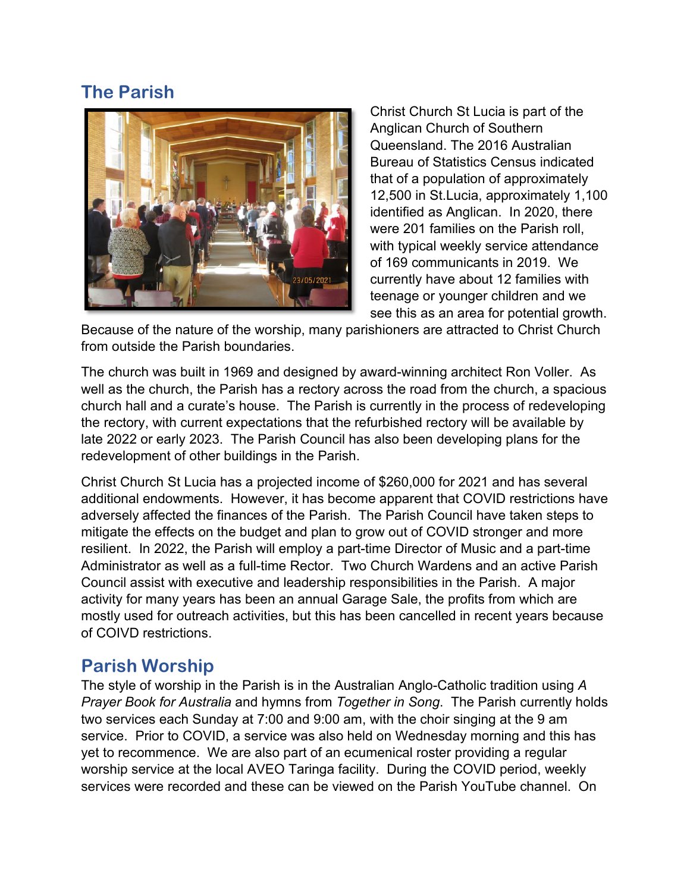## **The Parish**



Christ Church St Lucia is part of the Anglican Church of Southern Queensland. The 2016 Australian Bureau of Statistics Census indicated that of a population of approximately 12,500 in St.Lucia, approximately 1,100 identified as Anglican. In 2020, there were 201 families on the Parish roll, with typical weekly service attendance of 169 communicants in 2019. We currently have about 12 families with teenage or younger children and we see this as an area for potential growth.

Because of the nature of the worship, many parishioners are attracted to Christ Church from outside the Parish boundaries.

The church was built in 1969 and designed by award-winning architect Ron Voller. As well as the church, the Parish has a rectory across the road from the church, a spacious church hall and a curate's house. The Parish is currently in the process of redeveloping the rectory, with current expectations that the refurbished rectory will be available by late 2022 or early 2023. The Parish Council has also been developing plans for the redevelopment of other buildings in the Parish.

Christ Church St Lucia has a projected income of \$260,000 for 2021 and has several additional endowments. However, it has become apparent that COVID restrictions have adversely affected the finances of the Parish. The Parish Council have taken steps to mitigate the effects on the budget and plan to grow out of COVID stronger and more resilient. In 2022, the Parish will employ a part-time Director of Music and a part-time Administrator as well as a full-time Rector. Two Church Wardens and an active Parish Council assist with executive and leadership responsibilities in the Parish. A major activity for many years has been an annual Garage Sale, the profits from which are mostly used for outreach activities, but this has been cancelled in recent years because of COIVD restrictions.

### **Parish Worship**

The style of worship in the Parish is in the Australian Anglo-Catholic tradition using *A Prayer Book for Australia* and hymns from *Together in Song*. The Parish currently holds two services each Sunday at 7:00 and 9:00 am, with the choir singing at the 9 am service. Prior to COVID, a service was also held on Wednesday morning and this has yet to recommence. We are also part of an ecumenical roster providing a regular worship service at the local AVEO Taringa facility. During the COVID period, weekly services were recorded and these can be viewed on the Parish YouTube channel. On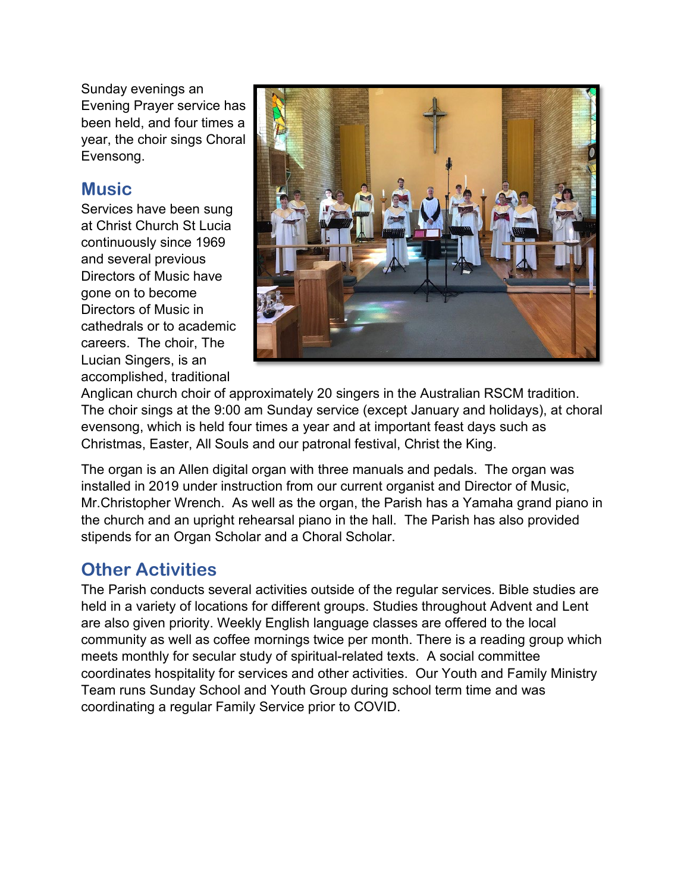Sunday evenings an Evening Prayer service has been held, and four times a year, the choir sings Choral Evensong.

#### **Music**

Services have been sung at Christ Church St Lucia continuously since 1969 and several previous Directors of Music have gone on to become Directors of Music in cathedrals or to academic careers. The choir, The Lucian Singers, is an accomplished, traditional



Anglican church choir of approximately 20 singers in the Australian RSCM tradition. The choir sings at the 9:00 am Sunday service (except January and holidays), at choral evensong, which is held four times a year and at important feast days such as Christmas, Easter, All Souls and our patronal festival, Christ the King.

The organ is an Allen digital organ with three manuals and pedals. The organ was installed in 2019 under instruction from our current organist and Director of Music, Mr.Christopher Wrench. As well as the organ, the Parish has a Yamaha grand piano in the church and an upright rehearsal piano in the hall. The Parish has also provided stipends for an Organ Scholar and a Choral Scholar.

## **Other Activities**

The Parish conducts several activities outside of the regular services. Bible studies are held in a variety of locations for different groups. Studies throughout Advent and Lent are also given priority. Weekly English language classes are offered to the local community as well as coffee mornings twice per month. There is a reading group which meets monthly for secular study of spiritual-related texts. A social committee coordinates hospitality for services and other activities. Our Youth and Family Ministry Team runs Sunday School and Youth Group during school term time and was coordinating a regular Family Service prior to COVID.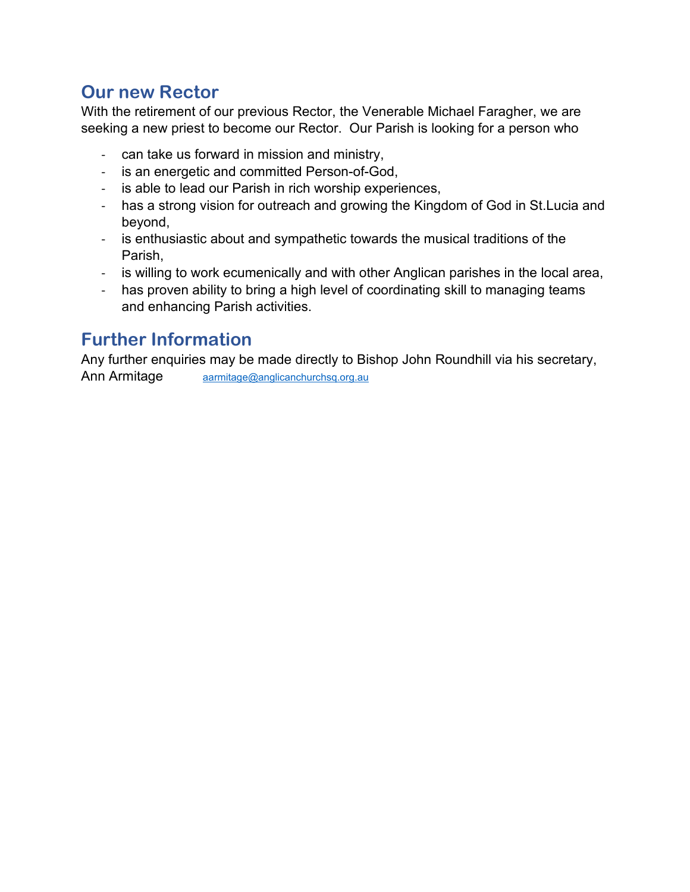## **Our new Rector**

With the retirement of our previous Rector, the Venerable Michael Faragher, we are seeking a new priest to become our Rector. Our Parish is looking for a person who

- can take us forward in mission and ministry,
- is an energetic and committed Person-of-God,
- is able to lead our Parish in rich worship experiences,
- has a strong vision for outreach and growing the Kingdom of God in St. Lucia and beyond,
- is enthusiastic about and sympathetic towards the musical traditions of the Parish,
- is willing to work ecumenically and with other Anglican parishes in the local area,
- has proven ability to bring a high level of coordinating skill to managing teams and enhancing Parish activities.

## **Further Information**

Any further enquiries may be made directly to Bishop John Roundhill via his secretary, Ann Armitage [aarmitage@anglicanchurchsq.org.au](mailto:aarmitage@anglicanchurchsq.org.au)